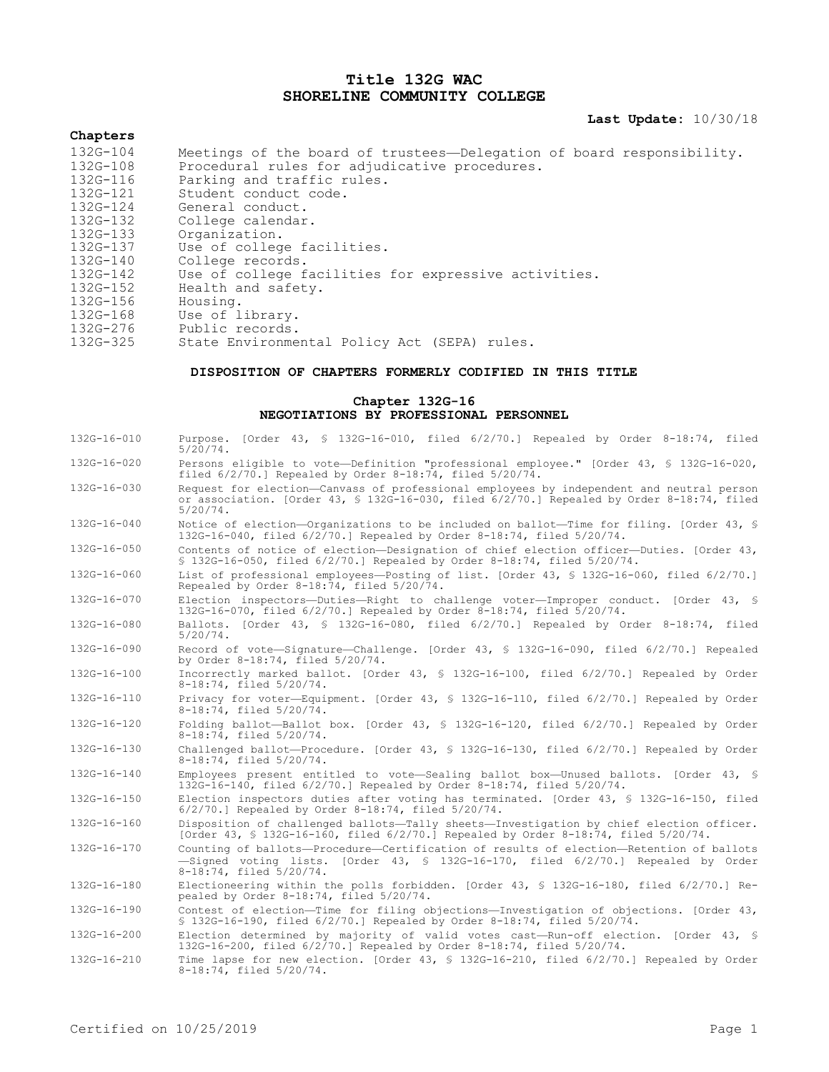# **Title 132G WAC SHORELINE COMMUNITY COLLEGE**

# **Last Update:** 10/30/18

# **Chapters**

| 132G-104     | Meetings of the board of trustees—Delegation of board responsibility. |
|--------------|-----------------------------------------------------------------------|
| 132G-108     | Procedural rules for adjudicative procedures.                         |
| $132G - 116$ | Parking and traffic rules.                                            |
| 132G-121     | Student conduct code.                                                 |
| $132G - 124$ | General conduct.                                                      |
| 132G-132     | College calendar.                                                     |
| 132G-133     | Organization.                                                         |
| $132G - 137$ | Use of college facilities.                                            |
| 132G-140     | College records.                                                      |
| $132G - 142$ | Use of college facilities for expressive activities.                  |
| $132G - 152$ | Health and safety.                                                    |
| 132G-156     | Housing.                                                              |
| 132G-168     | Use of library.                                                       |
| $132G - 276$ | Public records.                                                       |
| 132G-325     | State Environmental Policy Act (SEPA) rules.                          |
|              |                                                                       |

## **DISPOSITION OF CHAPTERS FORMERLY CODIFIED IN THIS TITLE**

## **Chapter 132G-16 NEGOTIATIONS BY PROFESSIONAL PERSONNEL**

| 132G-16-010 | Purpose. [Order 43, § 132G-16-010, filed 6/2/70.] Repealed by Order 8-18:74, filed<br>$5/20/74$ .                                                                                                         |
|-------------|-----------------------------------------------------------------------------------------------------------------------------------------------------------------------------------------------------------|
| 132G-16-020 | Persons eligible to vote-Definition "professional employee." [Order 43, § 132G-16-020,<br>filed $6/2/70$ .] Repealed by Order 8-18:74, filed $5/20/74$ .                                                  |
| 132G-16-030 | Request for election-Canvass of professional employees by independent and neutral person<br>or association. [Order 43, § 132G-16-030, filed 6/2/70.] Repealed by Order 8-18:74, filed<br>$5/20/74$ .      |
| 132G-16-040 | Notice of election-Organizations to be included on ballot-Time for filing. [Order 43, §<br>132G-16-040, filed 6/2/70.] Repealed by Order 8-18:74, filed 5/20/74.                                          |
| 132G-16-050 | Contents of notice of election-Designation of chief election officer-Duties. [Order 43,<br>§ 132G-16-050, filed 6/2/70.] Repealed by Order 8-18:74, filed 5/20/74.                                        |
| 132G-16-060 | List of professional employees-Posting of list. [Order 43, § 132G-16-060, filed 6/2/70.]<br>Repealed by Order 8-18:74, filed 5/20/74.                                                                     |
| 132G-16-070 | Election inspectors-Duties-Right to challenge voter-Improper conduct. [Order 43, §<br>132G-16-070, filed 6/2/70.] Repealed by Order 8-18:74, filed 5/20/74.                                               |
| 132G-16-080 | Ballots. [Order 43, § 132G-16-080, filed 6/2/70.] Repealed by Order 8-18:74, filed<br>$5/20/74$ .                                                                                                         |
| 132G-16-090 | Record of vote-Signature-Challenge. [Order 43, § 132G-16-090, filed 6/2/70.] Repealed<br>by Order 8-18:74, filed 5/20/74.                                                                                 |
| 132G-16-100 | Incorrectly marked ballot. [Order 43, § 132G-16-100, filed 6/2/70.] Repealed by Order<br>8-18:74, filed 5/20/74.                                                                                          |
| 132G-16-110 | Privacy for voter-Equipment. [Order 43, § 132G-16-110, filed 6/2/70.] Repealed by Order<br>8-18:74, filed 5/20/74.                                                                                        |
| 132G-16-120 | Folding ballot-Ballot box. [Order 43, § 132G-16-120, filed 6/2/70.] Repealed by Order<br>8-18:74, filed 5/20/74.                                                                                          |
| 132G-16-130 | Challenged ballot-Procedure. [Order 43, § 132G-16-130, filed 6/2/70.] Repealed by Order<br>8-18:74, filed 5/20/74.                                                                                        |
| 132G-16-140 | Employees present entitled to vote-Sealing ballot box-Unused ballots. [Order 43, §<br>132G-16-140, filed 6/2/70.] Repealed by Order 8-18:74, filed 5/20/74.                                               |
| 132G-16-150 | Election inspectors duties after voting has terminated. [Order 43, § 132G-16-150, filed<br>6/2/70.] Repealed by Order 8-18:74, filed 5/20/74.                                                             |
| 132G-16-160 | Disposition of challenged ballots-Tally sheets-Investigation by chief election officer.<br>[Order 43, § 132G-16-160, filed 6/2/70.] Repealed by Order 8-18:74, filed 5/20/74.                             |
| 132G-16-170 | Counting of ballots-Procedure-Certification of results of election-Retention of ballots<br>-Signed voting lists. [Order 43, § 132G-16-170, filed $6/2/70$ .] Repealed by Order<br>8-18:74, filed 5/20/74. |
| 132G-16-180 | Electioneering within the polls forbidden. [Order 43, § 132G-16-180, filed 6/2/70.] Re-<br>pealed by Order 8-18:74, filed 5/20/74.                                                                        |
| 132G-16-190 | Contest of election-Time for filing objections-Investigation of objections. [Order 43,<br>\$ 132G-16-190, filed 6/2/70.] Repealed by Order 8-18:74, filed 5/20/74.                                        |
| 132G-16-200 | Election determined by majority of valid votes cast-Run-off election. [Order 43, §<br>132G-16-200, filed 6/2/70.] Repealed by Order 8-18:74, filed 5/20/74.                                               |
| 132G-16-210 | Time lapse for new election. [Order 43, § 132G-16-210, filed 6/2/70.] Repealed by Order<br>8-18:74, filed 5/20/74.                                                                                        |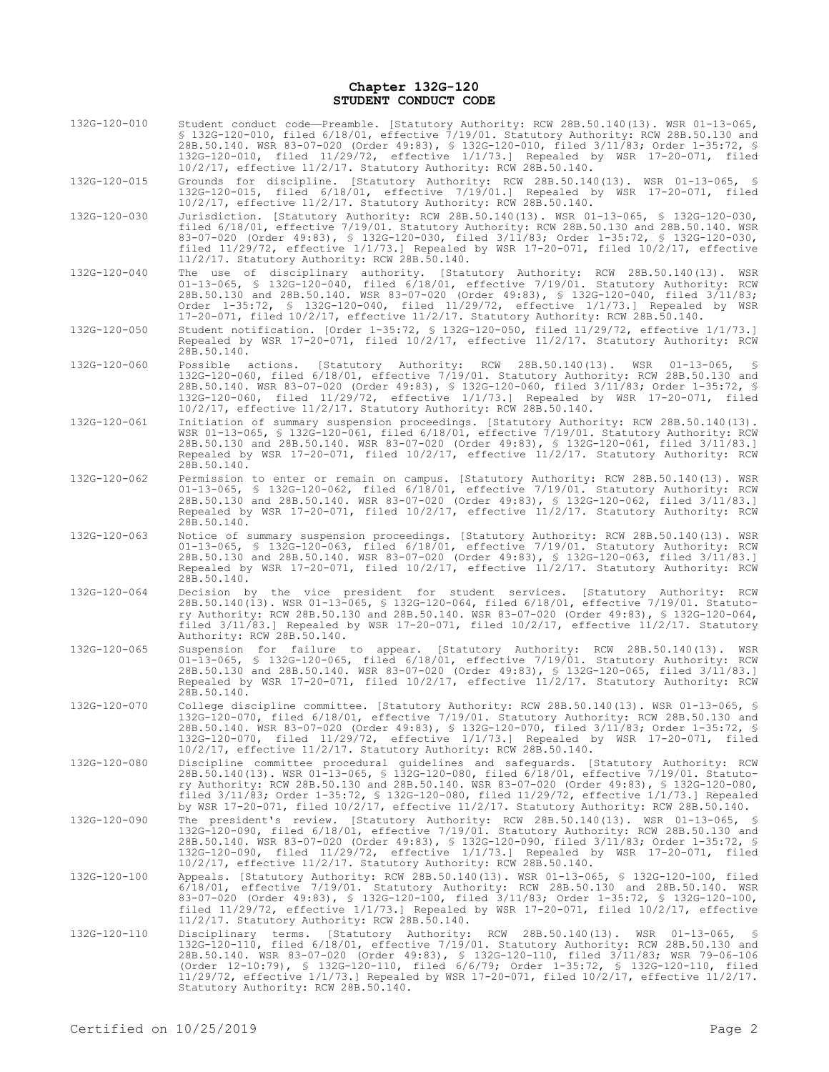### **Chapter 132G-120 STUDENT CONDUCT CODE**

| 132G-120-010 | Student conduct code-Preamble. [Statutory Authority: RCW 28B.50.140(13). WSR 01-13-065,<br>$$132G-120-010$ , filed $6/18/01$ , effective $7/19/01$ . Statutory Authority: RCW 28B.50.130 and<br>28B.50.140. WSR 83-07-020 (Order 49:83), § 132G-120-010, filed 3/11/83; Order 1-35:72, §<br>132G-120-010, filed 11/29/72, effective 1/1/73.] Repealed by WSR 17-20-071, filed<br>$10/2/17$ , effective $11/2/17$ . Statutory Authority: RCW 28B.50.140.                                                           |
|--------------|-------------------------------------------------------------------------------------------------------------------------------------------------------------------------------------------------------------------------------------------------------------------------------------------------------------------------------------------------------------------------------------------------------------------------------------------------------------------------------------------------------------------|
| 132G-120-015 | Grounds for discipline. [Statutory Authority: RCW 28B.50.140(13). WSR 01-13-065, §<br>132G-120-015, filed 6/18/01, effective 7/19/01.] Repealed by WSR 17-20-071, filed<br>$10/2/17$ , effective $11/2/17$ . Statutory Authority: RCW 28B.50.140.                                                                                                                                                                                                                                                                 |
| 132G-120-030 | Jurisdiction. [Statutory Authority: RCW 28B.50.140(13). WSR 01-13-065, § 132G-120-030,<br>filed 6/18/01, effective 7/19/01. Statutory Authority: RCW 28B.50.130 and 28B.50.140. WSR<br>83-07-020 (Order 49:83), § 132G-120-030, filed 3/11/83; Order 1-35:72, § 132G-120-030,<br>filed $11/29/72$ , effective $1/1/73$ . Repealed by WSR 17-20-071, filed $10/2/17$ , effective<br>11/2/17. Statutory Authority: RCW 28B.50.140.                                                                                  |
| 132G-120-040 | The use of disciplinary authority. [Statutory Authority: RCW 28B.50.140(13). WSR<br>$01-13-065$ , § 132G-120-040, filed $6/18/01$ , effective $7/19/01$ . Statutory Authority: RCW<br>28B.50.130 and 28B.50.140. WSR 83-07-020 (Order 49:83), § 132G-120-040, filed 3/11/83;<br>Order 1-35:72, § 132G-120-040, filed 11/29/72, effective 1/1/73.] Repealed by WSR<br>17-20-071, filed 10/2/17, effective 11/2/17. Statutory Authority: RCW 28B.50.140.                                                            |
| 132G-120-050 | Student notification. [Order 1-35:72, § 132G-120-050, filed 11/29/72, effective 1/1/73.]<br>Repealed by WSR 17-20-071, filed 10/2/17, effective 11/2/17. Statutory Authority: RCW<br>28B.50.140.                                                                                                                                                                                                                                                                                                                  |
| 132G-120-060 | $[Statutory$ Authority: RCW 28B.50.140(13). WSR 01-13-065,<br>Possible actions.<br>- 8<br>132G-120-060, filed 6/18/01, effective 7/19/01. Statutory Authority: RCW 28B.50.130 and<br>28B.50.140. WSR 83-07-020 (Order 49:83), § 132G-120-060, filed 3/11/83; Order 1-35:72, §<br>132G-120-060, filed 11/29/72, effective 1/1/73.] Repealed by WSR 17-20-071, filed<br>$10/2/17$ , effective $11/2/17$ . Statutory Authority: RCW 28B.50.140.                                                                      |
| 132G-120-061 | Initiation of summary suspension proceedings. [Statutory Authority: RCW 28B.50.140(13).<br>WSR 01-13-065, § 132G-120-061, filed 6/18/01, effective 7/19/01. Statutory Authority: RCW<br>28B.50.130 and 28B.50.140. WSR 83-07-020 (Order 49:83), § 132G-120-061, filed 3/11/83.]<br>Repealed by WSR 17-20-071, filed $10/2/17$ , effective $11/2/17$ . Statutory Authority: RCW<br>28B.50.140.                                                                                                                     |
| 132G-120-062 | Permission to enter or remain on campus. [Statutory Authority: RCW 28B.50.140(13). WSR<br>01-13-065, § 132G-120-062, filed 6/18/01, effective 7/19/01. Statutory Authority: RCW<br>28B.50.130 and 28B.50.140. WSR 83-07-020 (Order 49:83), § 132G-120-062, filed 3/11/83.]<br>Repealed by WSR 17-20-071, filed 10/2/17, effective 11/2/17. Statutory Authority: RCW<br>28B.50.140.                                                                                                                                |
| 132G-120-063 | Notice of summary suspension proceedings. [Statutory Authority: RCW 28B.50.140(13). WSR<br>$01-13-065$ , § 132G-120-063, filed 6/18/01, effective 7/19/01. Statutory Authority: RCW<br>28B.50.130 and 28B.50.140. WSR 83-07-020 (Order 49:83), § 132G-120-063, filed 3/11/83.]<br>Repealed by WSR 17-20-071, filed 10/2/17, effective 11/2/17. Statutory Authority: RCW<br>28B.50.140.                                                                                                                            |
| 132G-120-064 | Decision by the vice president for student services. [Statutory Authority: RCW<br>28B.50.140(13). WSR 01-13-065, § 132G-120-064, filed 6/18/01, effective 7/19/01. Statuto-<br>ry Authority: RCW 28B.50.130 and 28B.50.140. WSR 83-07-020 (Order 49:83), § 132G-120-064,<br>filed $3/11/83$ .] Repealed by WSR 17-20-071, filed $10/2/17$ , effective $11/2/17$ . Statutory<br>Authority: RCW 28B.50.140.                                                                                                         |
| 132G-120-065 | Suspension for failure to appear. [Statutory Authority: RCW 28B.50.140(13).<br>WSR<br>$01-13-065$ , § 132G-120-065, filed $6/18/01$ , effective $7/19/01$ . Statutory Authority: RCW<br>28B.50.130 and 28B.50.140. WSR 83-07-020 (Order 49:83), § 132G-120-065, filed 3/11/83.]<br>Repealed by WSR 17-20-071, filed $10/2/17$ , effective $11/2/17$ . Statutory Authority: RCW<br>28B.50.140.                                                                                                                     |
| 132G-120-070 | College discipline committee. [Statutory Authority: RCW 28B.50.140(13). WSR 01-13-065, §<br>132G-120-070, filed 6/18/01, effective 7/19/01. Statutory Authority: RCW 28B.50.130 and<br>28B.50.140. WSR 83-07-020 (Order 49:83), § 132G-120-070, filed 3/11/83; Order 1-35:72, §<br>132G-120-070, filed 11/29/72, effective 1/1/73.] Repealed by WSR 17-20-071, filed<br>$10/2/17$ , effective $11/2/17$ . Statutory Authority: RCW 28B.50.140.                                                                    |
| 132G-120-080 | Discipline committee procedural quidelines and safequards. [Statutory Authority: RCW<br>28B.50.140(13). WSR 01-13-065, § 132G-120-080, filed 6/18/01, effective 7/19/01. Statuto-<br>ry Authority: RCW 28B.50.130 and 28B.50.140. WSR 83-07-020 (Order 49:83), § 132G-120-080,<br>filed $3/11/83$ ; Order 1-35:72, § 132G-120-080, filed 11/29/72, effective $1/1/73$ . Repealed<br>by WSR 17-20-071, filed $10/2/17$ , effective $11/2/17$ . Statutory Authority: RCW 28B.50.140.                                |
| 132G-120-090 | The president's review. [Statutory Authority: RCW 28B.50.140(13). WSR 01-13-065, §<br>132G-120-090, filed 6/18/01, effective 7/19/01. Statutory Authority: RCW 28B.50.130 and<br>28B.50.140. WSR 83-07-020 (Order 49:83), § 132G-120-090, filed 3/11/83; Order 1-35:72, §<br>132G-120-090, filed 11/29/72, effective 1/1/73.] Repealed by WSR 17-20-071, filed<br>10/2/17, effective 11/2/17. Statutory Authority: RCW 28B.50.140.                                                                                |
| 132G-120-100 | Appeals. [Statutory Authority: RCW 28B.50.140(13). WSR 01-13-065, § 132G-120-100, filed<br>6/18/01, effective 7/19/01. Statutory Authority: RCW 28B.50.130 and 28B.50.140. WSR<br>83-07-020 (Order 49:83), § 132G-120-100, filed 3/11/83; Order 1-35:72, § 132G-120-100,<br>filed $11/29/72$ , effective $1/1/73$ . Repealed by WSR 17-20-071, filed $10/2/17$ , effective<br>11/2/17. Statutory Authority: RCW 28B.50.140.                                                                                       |
| 132G-120-110 | Disciplinary terms. [Statutory Authority: RCW 28B.50.140(13). WSR 01-13-065,<br>- S<br>132G-120-110, filed 6/18/01, effective 7/19/01. Statutory Authority: RCW 28B.50.130 and<br>28B.50.140. WSR 83-07-020 (Order 49:83), \$ 132G-120-110, filed 3/11/83; WSR 79-06-106<br>(Order 12-10:79), § 132G-120-110, filed 6/6/79; Order 1-35:72, § 132G-120-110, filed<br>$11/29/72$ , effective $1/1/73$ .] Repealed by WSR 17-20-071, filed $10/2/17$ , effective $11/2/17$ .<br>Statutory Authority: RCW 28B.50.140. |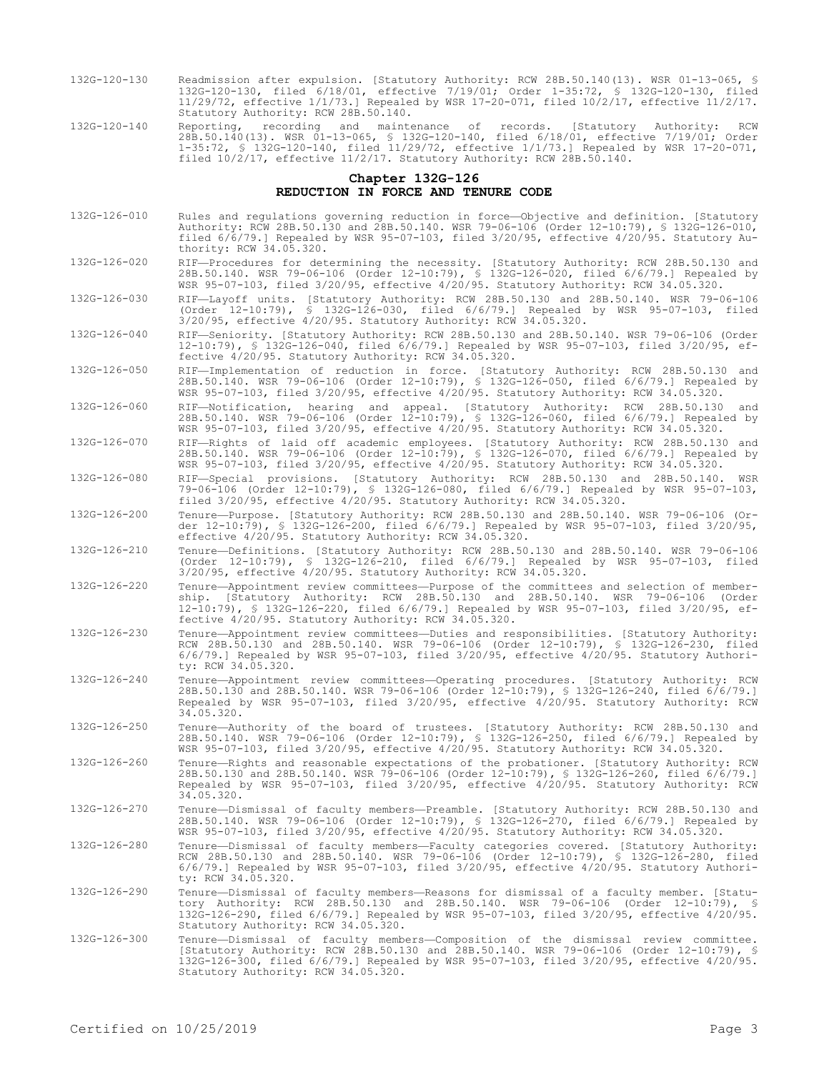- 132G-120-130 Readmission after expulsion. [Statutory Authority: RCW 28B.50.140(13). WSR 01-13-065, § 132G-120-130, filed 6/18/01, effective 7/19/01; Order 1-35:72, § 132G-120-130, filed 11/29/72, effective 1/1/73.] Repealed by WSR 17-20-071, filed 10/2/17, effective 11/2/17. Statutory Authority: RCW 28B.50.140.
- 132G-120-140 Reporting, recording and maintenance of records. [Statutory Authority: RCW 28B.50.140(13). WSR 01-13-065, § 132G-120-140, filed 6/18/01, effective 7/19/01; Order 1-35:72, § 132G-120-140, filed 11/29/72, effective 1/1/73.] Repealed by WSR 17-20-071, filed 10/2/17, effective 11/2/17. Statutory Authority: RCW 28B.50.140.

## **Chapter 132G-126 REDUCTION IN FORCE AND TENURE CODE**

- 132G-126-010 Rules and regulations governing reduction in force—Objective and definition. [Statutory Authority: RCW 28B.50.130 and 28B.50.140. WSR 79-06-106 (Order 12-10:79), § 132G-126-010, filed 6/6/79.] Repealed by WSR 95-07-103, filed 3/20/95, effective 4/20/95. Statutory Authority: RCW 34.05.320.
- 132G-126-020 RIF—Procedures for determining the necessity. [Statutory Authority: RCW 28B.50.130 and 28B.50.140. WSR 79-06-106 (Order 12-10:79), § 132G-126-020, filed 6/6/79.] Repealed by WSR 95-07-103, filed 3/20/95, effective 4/20/95. Statutory Authority: RCW 34.05.320.

132G-126-030 RIF—Layoff units. [Statutory Authority: RCW 28B.50.130 and 28B.50.140. WSR 79-06-106 (Order 12-10:79), § 132G-126-030, filed 6/6/79.] Repealed by WSR 95-07-103, filed 3/20/95, effective 4/20/95. Statutory Authority: RCW 34.05.320.

- 132G-126-040 RIF—Seniority. [Statutory Authority: RCW 28B.50.130 and 28B.50.140. WSR 79-06-106 (Order 12-10:79), § 132G-126-040, filed 6/6/79.] Repealed by WSR 95-07-103, filed 3/20/95, effective 4/20/95. Statutory Authority: RCW 34.05.320.
- 132G-126-050 RIF—Implementation of reduction in force. [Statutory Authority: RCW 28B.50.130 and 28B.50.140. WSR 79-06-106 (Order 12-10:79), § 132G-126-050, filed 6/6/79.] Repealed by WSR 95-07-103, filed 3/20/95, effective 4/20/95. Statutory Authority: RCW 34.05.320.
- 132G-126-060 RIF—Notification, hearing and appeal. [Statutory Authority: RCW 28B.50.130 and 28B.50.140. WSR 79-06-106 (Order 12-10:79), § 132G-126-060, filed 6/6/79.] Repealed by WSR 95-07-103, filed 3/20/95, effective 4/20/95. Statutory Authority: RCW 34.05.320.
- 132G-126-070 RIF—Rights of laid off academic employees. [Statutory Authority: RCW 28B.50.130 and 28B.50.140. WSR 79-06-106 (Order 12-10:79), § 132G-126-070, filed 6/6/79.] Repealed by WSR 95-07-103, filed 3/20/95, effective 4/20/95. Statutory Authority: RCW 34.05.320.
- 132G-126-080 RIF—Special provisions. [Statutory Authority: RCW 28B.50.130 and 28B.50.140. WSR 79-06-106 (Order 12-10:79), § 132G-126-080, filed 6/6/79.] Repealed by WSR 95-07-103, filed 3/20/95, effective 4/20/95. Statutory Authority: RCW 34.05.320.
- 132G-126-200 Tenure—Purpose. [Statutory Authority: RCW 28B.50.130 and 28B.50.140. WSR 79-06-106 (Order 12-10:79), § 132G-126-200, filed 6/6/79.] Repealed by WSR 95-07-103, filed 3/20/95, effective 4/20/95. Statutory Authority: RCW 34.05.320.
- 132G-126-210 Tenure—Definitions. [Statutory Authority: RCW 28B.50.130 and 28B.50.140. WSR 79-06-106 (Order 12-10:79), § 132G-126-210, filed 6/6/79.] Repealed by WSR 95-07-103, filed 3/20/95, effective 4/20/95. Statutory Authority: RCW 34.05.320.
- 132G-126-220 Tenure—Appointment review committees—Purpose of the committees and selection of membership. [Statutory Authority: RCW 28B.50.130 and 28B.50.140. WSR 79-06-106 (Order 12-10:79), § 132G-126-220, filed 6/6/79.] Repealed by WSR 95-07-103, filed 3/20/95, effective 4/20/95. Statutory Authority: RCW 34.05.320.
- 132G-126-230 Tenure—Appointment review committees—Duties and responsibilities. [Statutory Authority: RCW 28B.50.130 and 28B.50.140. WSR 79-06-106 (Order 12-10:79), § 132G-126-230, filed 6/6/79.] Repealed by WSR 95-07-103, filed 3/20/95, effective 4/20/95. Statutory Authority: RCW 34.05.320.
- 132G-126-240 Tenure—Appointment review committees—Operating procedures. [Statutory Authority: RCW 28B.50.130 and 28B.50.140. WSR 79-06-106 (Order 12-10:79), § 132G-126-240, filed 6/6/79.] Repealed by WSR 95-07-103, filed 3/20/95, effective 4/20/95. Statutory Authority: RCW 34.05.320.
- 132G-126-250 Tenure—Authority of the board of trustees. [Statutory Authority: RCW 28B.50.130 and 28B.50.140. WSR 79-06-106 (Order 12-10:79), § 132G-126-250, filed 6/6/79.] Repealed by WSR 95-07-103, filed 3/20/95, effective 4/20/95. Statutory Authority: RCW 34.05.320.
- 132G-126-260 Tenure—Rights and reasonable expectations of the probationer. [Statutory Authority: RCW 28B.50.130 and 28B.50.140. WSR 79-06-106 (Order 12-10:79), § 132G-126-260, filed 6/6/79.] Repealed by WSR 95-07-103, filed 3/20/95, effective 4/20/95. Statutory Authority: RCW 34.05.320.
- 132G-126-270 Tenure—Dismissal of faculty members—Preamble. [Statutory Authority: RCW 28B.50.130 and 28B.50.140. WSR 79-06-106 (Order 12-10:79), § 132G-126-270, filed 6/6/79.] Repealed by WSR 95-07-103, filed 3/20/95, effective 4/20/95. Statutory Authority: RCW 34.05.320.
- 132G-126-280 Tenure—Dismissal of faculty members—Faculty categories covered. [Statutory Authority: RCW 28B.50.130 and 28B.50.140. WSR 79-06-106 (Order 12-10:79), § 132G-126-280, filed 6/6/79.] Repealed by WSR 95-07-103, filed 3/20/95, effective 4/20/95. Statutory Authority: RCW 34.05.320.
- 132G-126-290 Tenure—Dismissal of faculty members—Reasons for dismissal of a faculty member. [Statutory Authority: RCW 28B.50.130 and 28B.50.140. WSR 79-06-106 (Order 12-10:79), § 132G-126-290, filed 6/6/79.] Repealed by WSR 95-07-103, filed 3/20/95, effective 4/20/95. Statutory Authority: RCW 34.05.320.
- 132G-126-300 Tenure—Dismissal of faculty members—Composition of the dismissal review committee. [Statutory Authority: RCW 28B.50.130 and 28B.50.140. WSR 79-06-106 (Order 12-10:79), § 132G-126-300, filed 6/6/79.] Repealed by WSR 95-07-103, filed 3/20/95, effective 4/20/95. Statutory Authority: RCW 34.05.320.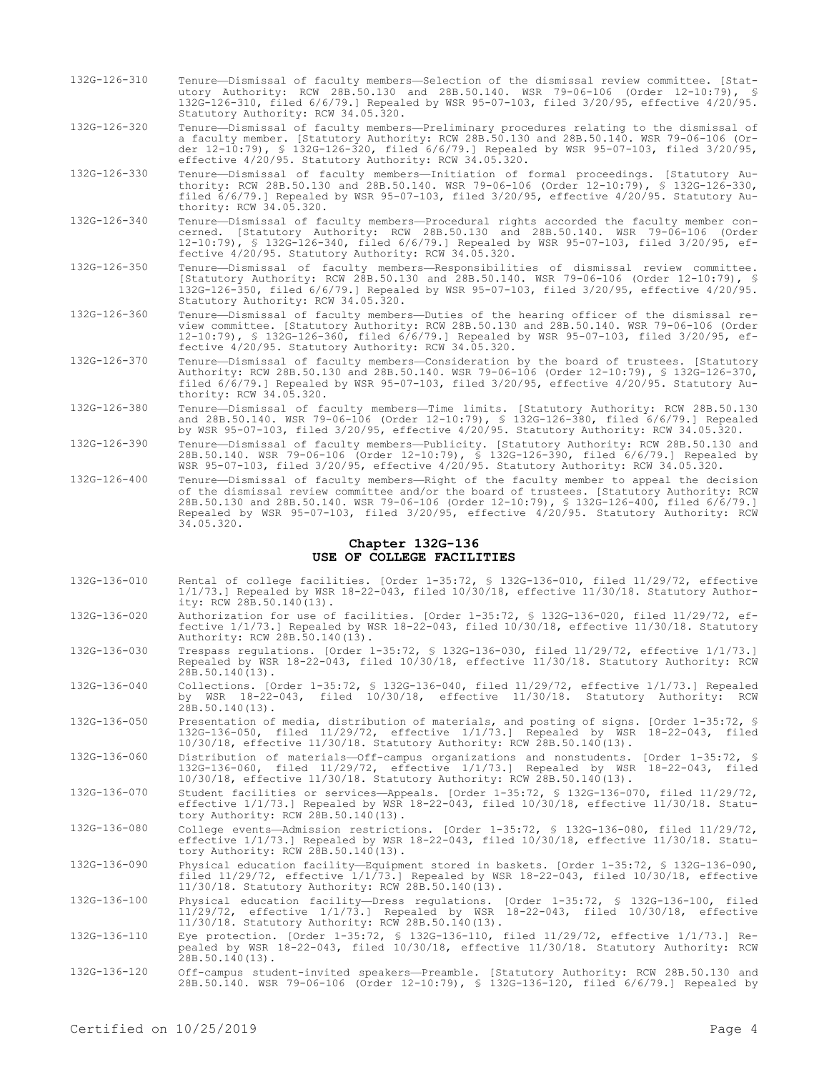132G-126-310 Tenure—Dismissal of faculty members—Selection of the dismissal review committee. [Statutory Authority: RCW 28B.50.130 and 28B.50.140. WSR 79-06-106 (Order 12-10:79), § 132G-126-310, filed 6/6/79.] Repealed by WSR 95-07-103, filed 3/20/95, effective 4/20/95. Statutory Authority: RCW 34.05.320.

132G-126-320 Tenure—Dismissal of faculty members—Preliminary procedures relating to the dismissal of a faculty member. [Statutory Authority: RCW 28B.50.130 and 28B.50.140. WSR 79-06-106 (Order 12-10:79), § 132G-126-320, filed 6/6/79.] Repealed by WSR 95-07-103, filed 3/20/95, effective 4/20/95. Statutory Authority: RCW 34.05.320.

132G-126-330 Tenure—Dismissal of faculty members—Initiation of formal proceedings. [Statutory Authority: RCW 28B.50.130 and 28B.50.140. WSR 79-06-106 (Order 12-10:79), § 132G-126-330, filed 6/6/79.] Repealed by WSR 95-07-103, filed 3/20/95, effective 4/20/95. Statutory Authority: RCW 34.05.320.

- 132G-126-340 Tenure—Dismissal of faculty members—Procedural rights accorded the faculty member concerned. [Statutory Authority: RCW 28B.50.130 and 28B.50.140. WSR 79-06-106 (Order 12-10:79), § 132G-126-340, filed 6/6/79.] Repealed by WSR 95-07-103, filed 3/20/95, effective 4/20/95. Statutory Authority: RCW 34.05.320.
- 132G-126-350 Tenure—Dismissal of faculty members—Responsibilities of dismissal review committee. [Statutory Authority: RCW 28B.50.130 and 28B.50.140. WSR 79-06-106 (Order 12-10:79), § 132G-126-350, filed 6/6/79.] Repealed by WSR 95-07-103, filed 3/20/95, effective 4/20/95. Statutory Authority: RCW 34.05.320.
- 132G-126-360 Tenure—Dismissal of faculty members—Duties of the hearing officer of the dismissal review committee. [Statutory Authority: RCW 28B.50.130 and 28B.50.140. WSR 79-06-106 (Order 12-10:79), § 132G-126-360, filed 6/6/79.] Repealed by WSR 95-07-103, filed 3/20/95, effective 4/20/95. Statutory Authority: RCW 34.05.320.
- 132G-126-370 Tenure—Dismissal of faculty members—Consideration by the board of trustees. [Statutory Authority: RCW 28B.50.130 and 28B.50.140. WSR 79-06-106 (Order 12-10:79), § 132G-126-370, filed 6/6/79.] Repealed by WSR 95-07-103, filed 3/20/95, effective 4/20/95. Statutory Authority: RCW 34.05.320.
- 132G-126-380 Tenure—Dismissal of faculty members—Time limits. [Statutory Authority: RCW 28B.50.130 and 28B.50.140. WSR 79-06-106 (Order 12-10:79), § 132G-126-380, filed 6/6/79.] Repealed by WSR 95-07-103, filed 3/20/95, effective 4/20/95. Statutory Authority: RCW 34.05.320.
- 132G-126-390 Tenure—Dismissal of faculty members—Publicity. [Statutory Authority: RCW 28B.50.130 and 28B.50.140. WSR 79-06-106 (Order 12-10:79), § 132G-126-390, filed 6/6/79.] Repealed by WSR 95-07-103, filed 3/20/95, effective 4/20/95. Statutory Authority: RCW 34.05.320.
- 132G-126-400 Tenure—Dismissal of faculty members—Right of the faculty member to appeal the decision of the dismissal review committee and/or the board of trustees. [Statutory Authority: RCW 28B.50.130 and 28B.50.140. WSR 79-06-106 (Order 12-10:79), § 132G-126-400, filed 6/6/79.] Repealed by WSR 95-07-103, filed 3/20/95, effective 4/20/95. Statutory Authority: RCW 34.05.320.

#### **Chapter 132G-136 USE OF COLLEGE FACILITIES**

- 132G-136-010 Rental of college facilities. [Order 1-35:72, § 132G-136-010, filed 11/29/72, effective 1/1/73.] Repealed by WSR 18-22-043, filed 10/30/18, effective 11/30/18. Statutory Authority: RCW 28B.50.140(13).
- 132G-136-020 Authorization for use of facilities. [Order 1-35:72, § 132G-136-020, filed 11/29/72, effective 1/1/73.] Repealed by WSR 18-22-043, filed 10/30/18, effective 11/30/18. Statutory Authority: RCW 28B.50.140(13).
- 132G-136-030 Trespass regulations. [Order 1-35:72, § 132G-136-030, filed 11/29/72, effective 1/1/73.] Repealed by WSR 18-22-043, filed 10/30/18, effective 11/30/18. Statutory Authority: RCW 28B.50.140(13).
- 132G-136-040 Collections. [Order 1-35:72, § 132G-136-040, filed 11/29/72, effective 1/1/73.] Repealed by WSR 18-22-043, filed 10/30/18, effective 11/30/18. Statutory Authority: RCW 28B.50.140(13).
- 132G-136-050 Presentation of media, distribution of materials, and posting of signs. [Order 1-35:72, § 132G-136-050, filed 11/29/72, effective 1/1/73.] Repealed by WSR 18-22-043, filed 10/30/18, effective 11/30/18. Statutory Authority: RCW 28B.50.140(13).
- 132G-136-060 Distribution of materials—Off-campus organizations and nonstudents. [Order 1-35:72, § 132G-136-060, filed 11/29/72, effective 1/1/73.] Repealed by WSR 18-22-043, filed 10/30/18, effective 11/30/18. Statutory Authority: RCW 28B.50.140(13).

132G-136-070 Student facilities or services—Appeals. [Order 1-35:72, § 132G-136-070, filed 11/29/72, effective 1/1/73.] Repealed by WSR 18-22-043, filed 10/30/18, effective 11/30/18. Statutory Authority: RCW 28B.50.140(13).

132G-136-080 College events—Admission restrictions. [Order 1-35:72, § 132G-136-080, filed 11/29/72, effective 1/1/73.] Repealed by WSR 18-22-043, filed 10/30/18, effective 11/30/18. Statutory Authority:  $RCW 28B.50.140(13)$ .

132G-136-090 Physical education facility—Equipment stored in baskets. [Order 1-35:72, § 132G-136-090, filed 11/29/72, effective 1/1/73.] Repealed by WSR 18-22-043, filed 10/30/18, effective 11/30/18. Statutory Authority: RCW 28B.50.140(13).

132G-136-100 Physical education facility—Dress regulations. [Order 1-35:72, § 132G-136-100, filed 11/29/72, effective 1/1/73.] Repealed by WSR 18-22-043, filed 10/30/18, effective 11/30/18. Statutory Authority: RCW 28B.50.140(13).

- 132G-136-110 Eye protection. [Order 1-35:72, § 132G-136-110, filed 11/29/72, effective 1/1/73.] Re-pealed by WSR 18-22-043, filed 10/30/18, effective 11/30/18. Statutory Authority: RCW  $28B.50.140(13)$ .
- 132G-136-120 Off-campus student-invited speakers—Preamble. [Statutory Authority: RCW 28B.50.130 and 28B.50.140. WSR 79-06-106 (Order 12-10:79), § 132G-136-120, filed 6/6/79.] Repealed by